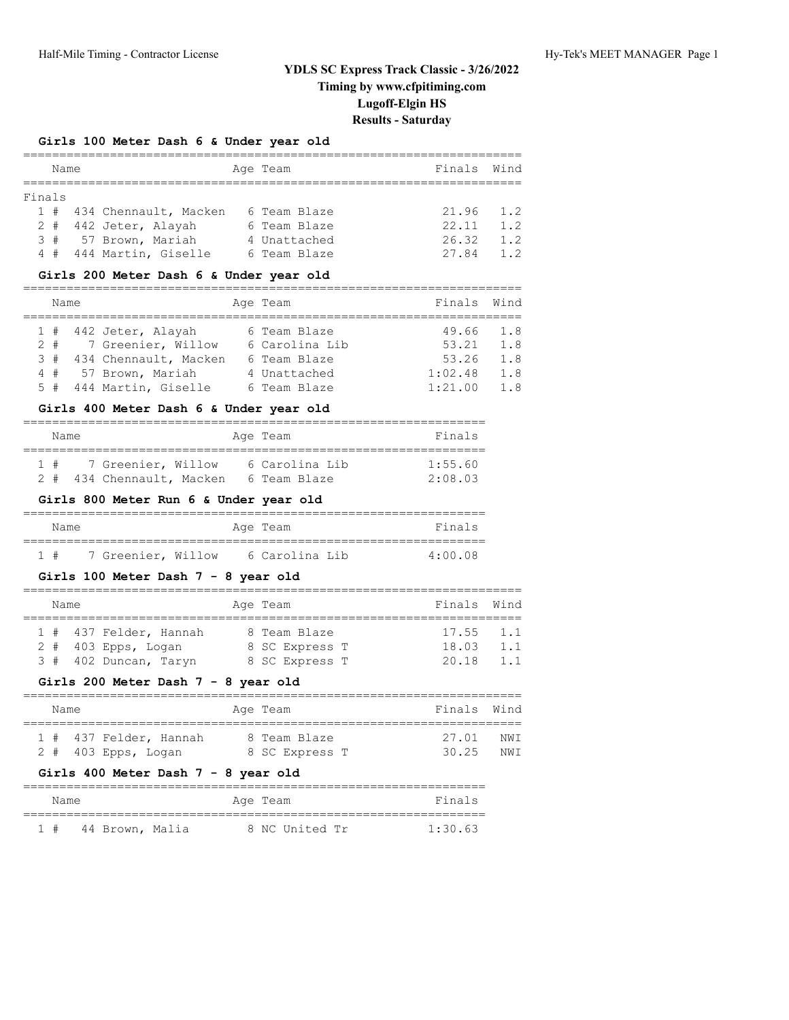# **Girls 100 Meter Dash 6 & Under year old**

|        | Name |                           | Age Team     | Finals        | Wind |
|--------|------|---------------------------|--------------|---------------|------|
|        |      |                           |              |               |      |
| Finals |      |                           |              |               |      |
|        |      | 1 # 434 Chennault, Macken | 6 Team Blaze | $21.96$ $1.2$ |      |
|        |      | 2 # 442 Jeter, Alayah     | 6 Team Blaze | 22.11         | 12   |
|        |      | 3 # 57 Brown, Mariah      | 4 Unattached | 26.32         | 1.2  |
|        |      | 4 # 444 Martin, Giselle   | 6 Team Blaze | 27.84         | 1.2  |

# **Girls 200 Meter Dash 6 & Under year old**

| Name |  | Age Team                | Finals Wind    |         |     |
|------|--|-------------------------|----------------|---------|-----|
|      |  |                         |                |         |     |
|      |  | 1 # 442 Jeter, Alayah   | 6 Team Blaze   | 49.66   | 1.8 |
|      |  | 2 # 7 Greenier, Willow  | 6 Carolina Lib | 53.21   | 1.8 |
| 3#   |  | 434 Chennault, Macken   | 6 Team Blaze   | 53.26   | 1.8 |
|      |  | 4 # 57 Brown, Mariah    | 4 Unattached   | 1:02.48 | 1.8 |
|      |  | 5 # 444 Martin, Giselle | 6 Team Blaze   | 1:21.00 | 1.8 |

#### **Girls 400 Meter Dash 6 & Under year old**

| Name    |                           | Age Team       | Finals  |
|---------|---------------------------|----------------|---------|
| $1 \pm$ | 7 Greenier, Willow        | 6 Carolina Lib | 1:55.60 |
|         | 2 # 434 Chennault, Macken | 6 Team Blaze   | 2:08.03 |

#### **Girls 800 Meter Run 6 & Under year old**

| Name |                    | Age Team       | Finals            |
|------|--------------------|----------------|-------------------|
|      |                    |                |                   |
| 1#   | 7 Greenier, Willow | 6 Carolina Lib | $4 \cdot 00$ $08$ |

#### **Girls 100 Meter Dash 7 - 8 year old**

|  | Name |                        | Age Team |                | Finals Wind |     |
|--|------|------------------------|----------|----------------|-------------|-----|
|  |      |                        |          |                |             |     |
|  |      | 1 # 437 Felder, Hannah |          | 8 Team Blaze   | $17.55$ 1.1 |     |
|  |      | $2$ # 403 Epps, Logan  |          | 8 SC Express T | 18.03       | 1.1 |
|  |      | 3 # 402 Duncan, Taryn  |          | 8 SC Express T | 20.18       | 1.1 |

# **Girls 200 Meter Dash 7 - 8 year old**

| Name |                        | Age Team       | Finals Wind |      |
|------|------------------------|----------------|-------------|------|
|      |                        |                |             |      |
|      | 1 # 437 Felder, Hannah | 8 Team Blaze   | 27.01       | NW T |
|      | $2$ # 403 Epps, Logan  | 8 SC Express T | 30 25       | NW T |

# **Girls 400 Meter Dash 7 - 8 year old**

| Name |                 |  | Age Team       | Finals  |
|------|-----------------|--|----------------|---------|
| 1#   | 44 Brown, Malia |  | 8 NC United Tr | 1:30.63 |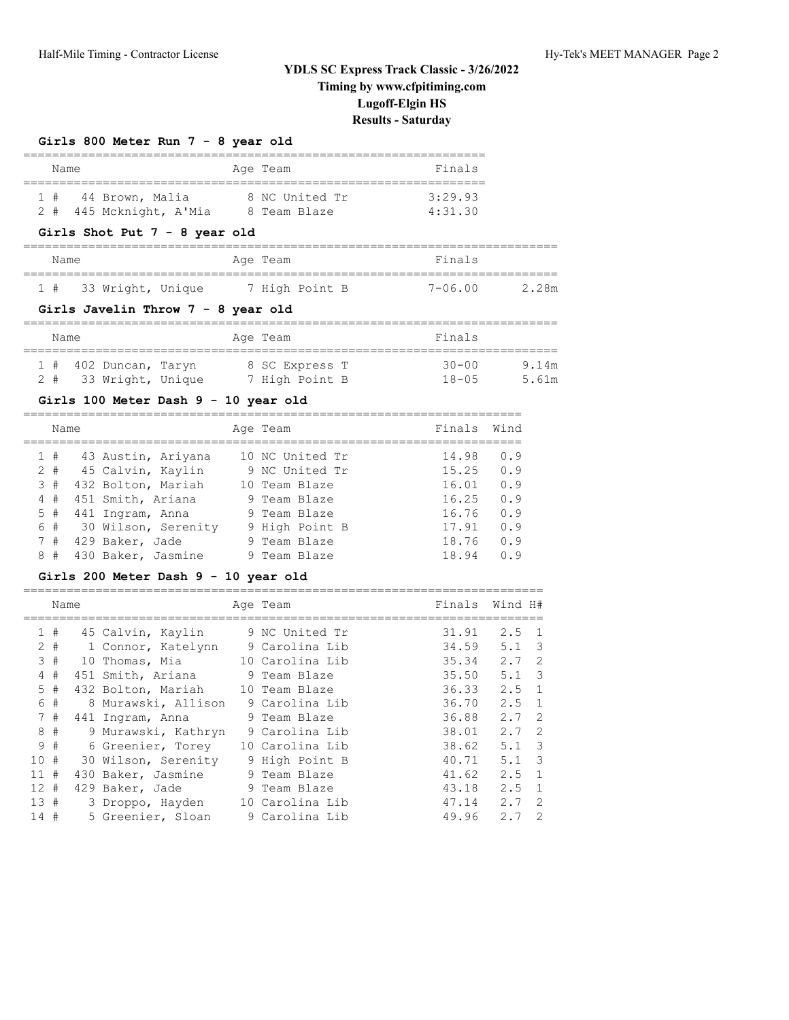# **Girls 800 Meter Run 7 - 8 year old**

| Name |                         | Age Team       | Finals  |
|------|-------------------------|----------------|---------|
| 1#   | 44 Brown, Malia         | 8 NC United Tr | 3:29.93 |
|      | 2 # 445 Mcknight, A'Mia | 8 Team Blaze   | 4:31.30 |

# **Girls Shot Put 7 - 8 year old**

| Name |                   |  | Age Team |                |  | Finals      |       |
|------|-------------------|--|----------|----------------|--|-------------|-------|
| 1#   | 33 Wright, Unique |  |          | 7 High Point B |  | $7 - 06.00$ | 2.28m |

#### **Girls Javelin Throw 7 - 8 year old**

| Name |                         |  | Age Team       | Finals     |       |
|------|-------------------------|--|----------------|------------|-------|
|      | $1$ # 402 Duncan, Taryn |  | 8 SC Express T | $30 - 00$  | 9.14m |
| 2#   | 33 Wright, Unique       |  | 7 High Point B | $18 - 0.5$ | 5.61m |

#### **Girls 100 Meter Dash 9 - 10 year old**

|   | Name  |                     |   | Age Team        | Finals | Wind |
|---|-------|---------------------|---|-----------------|--------|------|
|   | 1#    | 43 Austin, Ariyana  |   | 10 NC United Tr | 14.98  | 0.9  |
|   | $2 +$ | 45 Calvin, Kaylin   |   | 9 NC United Tr  | 15.25  | 0.9  |
|   | 3#    | 432 Bolton, Mariah  |   | 10 Team Blaze   | 16.01  | 0.9  |
|   | 4#    | 451 Smith, Ariana   |   | 9 Team Blaze    | 16.25  | 0.9  |
|   | 5#    | 441 Ingram, Anna    |   | 9 Team Blaze    | 16.76  | 0.9  |
|   | 6#    | 30 Wilson, Serenity |   | 9 High Point B  | 17.91  | 0.9  |
|   | 7#    | 429 Baker, Jade     |   | 9 Team Blaze    | 18.76  | 0.9  |
| 8 | #     | 430 Baker, Jasmine  | 9 | Team Blaze      | 18.94  | n 9  |

#### **Girls 200 Meter Dash 9 - 10 year old**

|        | Name  |    |                     | Age Team        |       | Finals Wind H#                    |
|--------|-------|----|---------------------|-----------------|-------|-----------------------------------|
|        | 1#    |    | 45 Calvin, Kaylin   | 9 NC United Tr  | 31.91 | $2.5 \quad 1$                     |
|        | $2 +$ |    | 1 Connor, Katelynn  | 9 Carolina Lib  | 34.59 | $\overline{\mathbf{3}}$<br>5.1    |
|        | 3#    | 10 | Thomas, Mia         | 10 Carolina Lib | 35.34 | $2.7 \quad 2$                     |
| 4      | #     |    | 451 Smith, Ariana   | 9 Team Blaze    | 35.50 | $\overline{\mathbf{3}}$<br>5.1    |
|        | 5#    |    | 432 Bolton, Mariah  | 10 Team Blaze   | 36.33 | $2.5 \quad 1$                     |
|        | 6 #   |    | 8 Murawski, Allison | 9 Carolina Lib  | 36.70 | $2.5 \quad 1$                     |
|        | 7#    |    | 441 Ingram, Anna    | 9 Team Blaze    | 36.88 | $\overline{2}$<br>2.7             |
| 8      | #     |    | 9 Murawski, Kathryn | 9 Carolina Lib  | 38.01 | $\overline{\phantom{0}}^2$<br>2.7 |
|        | 9#    |    | 6 Greenier, Torey   | 10 Carolina Lib | 38.62 | $\overline{\mathbf{3}}$<br>5.1    |
| 10#    |       |    | 30 Wilson, Serenity | 9 High Point B  | 40.71 | $\overline{\mathbf{3}}$<br>5.1    |
| 11#    |       |    | 430 Baker, Jasmine  | 9 Team Blaze    | 41.62 | $2.5 \quad 1$                     |
| $12 +$ |       |    | 429 Baker, Jade     | 9 Team Blaze    | 43.18 | $\overline{1}$<br>2.5             |
| 13#    |       |    | 3 Droppo, Hayden    | 10 Carolina Lib | 47.14 | -2<br>2.7                         |
| 14 #   |       |    | 5 Greenier, Sloan   | 9 Carolina Lib  | 49.96 | 2<br>2.7                          |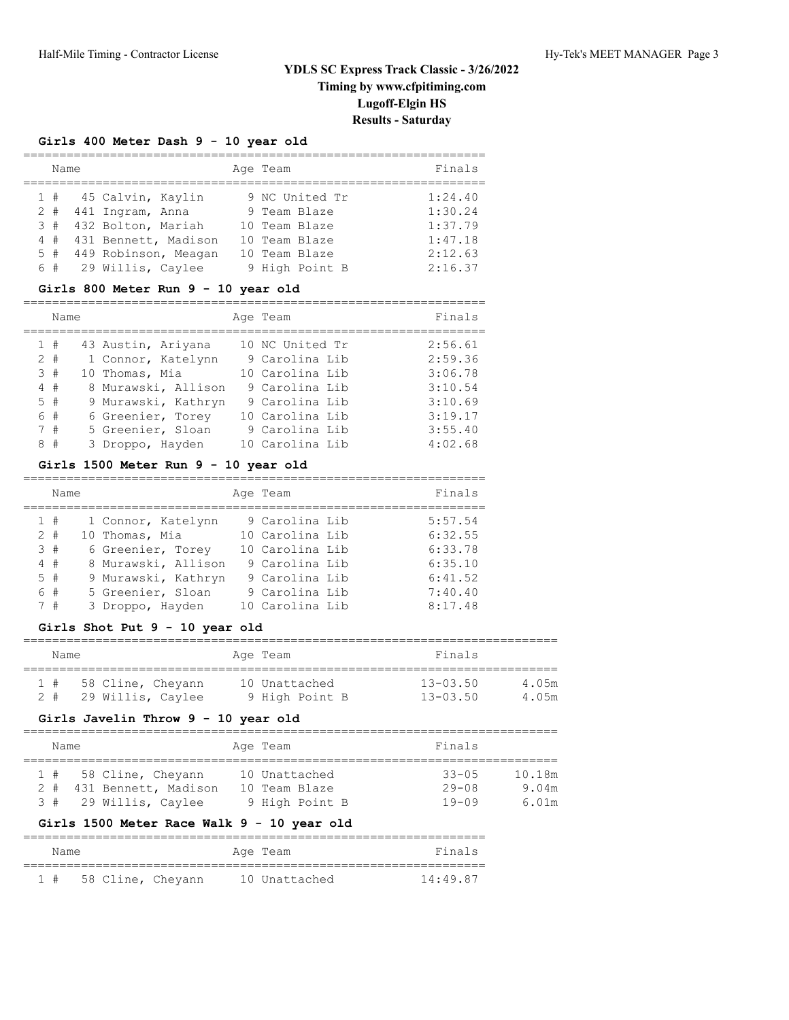# **Girls 400 Meter Dash 9 - 10 year old**

| Name  |                          | Age Team       | Finals  |
|-------|--------------------------|----------------|---------|
|       | 1 # 45 Calvin, Kaylin    | 9 NC United Tr | 1:24.40 |
| $2 +$ | 441 Ingram, Anna         | 9 Team Blaze   | 1:30.24 |
| 3#    | 432 Bolton, Mariah       | 10 Team Blaze  | 1:37.79 |
| 4#    | 431 Bennett, Madison     | 10 Team Blaze  | 1:47.18 |
|       | 5 # 449 Robinson, Meagan | 10 Team Blaze  | 2:12.63 |
|       | 6 # 29 Willis, Caylee    | 9 High Point B | 2:16.37 |

#### **Girls 800 Meter Run 9 - 10 year old**

|       | Name |                     | Age Team        | Finals  |
|-------|------|---------------------|-----------------|---------|
| 1#    |      | 43 Austin, Ariyana  | 10 NC United Tr | 2:56.61 |
| $2 +$ |      | 1 Connor, Katelynn  | 9 Carolina Lib  | 2:59.36 |
| 3#    |      | 10 Thomas, Mia      | 10 Carolina Lib | 3:06.78 |
| 4#    |      | 8 Murawski, Allison | 9 Carolina Lib  | 3:10.54 |
| $5 +$ |      | 9 Murawski, Kathryn | 9 Carolina Lib  | 3:10.69 |
| 6#    |      | 6 Greenier, Torey   | 10 Carolina Lib | 3:19.17 |
|       | 7#   | 5 Greenier, Sloan   | 9 Carolina Lib  | 3:55.40 |
| 8#    |      | 3 Droppo, Hayden    | 10 Carolina Lib | 4:02.68 |

#### **Girls 1500 Meter Run 9 - 10 year old**

| Name  |                     | Age Team        | Finals  |
|-------|---------------------|-----------------|---------|
| 1#    | 1 Connor, Katelynn  | 9 Carolina Lib  | 5:57.54 |
| $2 +$ | 10 Thomas, Mia      | 10 Carolina Lib | 6:32.55 |
| 3#    | 6 Greenier, Torey   | 10 Carolina Lib | 6:33.78 |
| 4#    | 8 Murawski, Allison | 9 Carolina Lib  | 6:35.10 |
| 5#    | 9 Murawski, Kathryn | 9 Carolina Lib  | 6:41.52 |
| 6 #   | 5 Greenier, Sloan   | 9 Carolina Lib  | 7:40.40 |
| 7#    | 3 Droppo, Hayden    | 10 Carolina Lib | 8:17.48 |

#### **Girls Shot Put 9 - 10 year old**

| Name |  |                   | Age Team       | Finals       |       |
|------|--|-------------------|----------------|--------------|-------|
| 1#   |  | 58 Cline, Cheyann | 10 Unattached  | $13 - 03.50$ | 4.05m |
|      |  | 29 Willis, Caylee | 9 High Point B | $13 - 03.50$ | 4.05m |

#### **Girls Javelin Throw 9 - 10 year old**

# ==========================================================================

| Name |                          | Age Team       | Finals    |        |
|------|--------------------------|----------------|-----------|--------|
|      | $1$ # 58 Cline, Cheyann  | 10 Unattached  | $33 - 05$ | 10.18m |
|      | 2 # 431 Bennett, Madison | 10 Team Blaze  | $29 - 08$ | 9.04m  |
|      | 3 # 29 Willis, Caylee    | 9 High Point B | $19 - 09$ | 6.01m  |

# **Girls 1500 Meter Race Walk 9 - 10 year old**

| Name |                   | Age Team      | Finals   |
|------|-------------------|---------------|----------|
|      |                   |               |          |
| 1#   | 58 Cline, Cheyann | 10 Unattached | 14:49.87 |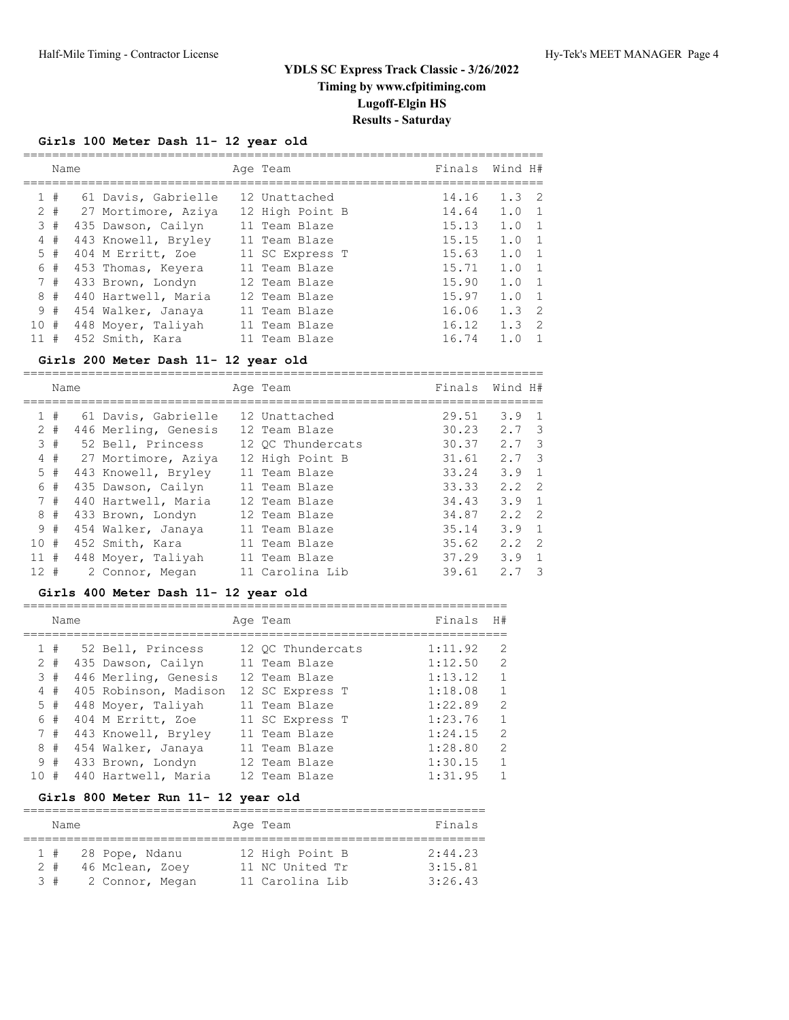===================================================================

# **Girls 100 Meter Dash 11- 12 year old**

|     |       | Name |                     | Age Team        | Finals | Wind H# |                |
|-----|-------|------|---------------------|-----------------|--------|---------|----------------|
|     | #     |      | 61 Davis, Gabrielle | 12 Unattached   | 14.16  | 1.3     | $\overline{2}$ |
|     | $2 +$ |      | 27 Mortimore, Aziya | 12 High Point B | 14.64  | 1.0     | - 1            |
|     | 3#    |      | 435 Dawson, Cailyn  | 11 Team Blaze   | 15.13  | 1.0     | 1              |
|     | 4#    |      | 443 Knowell, Bryley | 11 Team Blaze   | 15.15  | 1.0     | 1              |
|     | 5#    |      | 404 M Erritt, Zoe   | 11 SC Express T | 15.63  | 1.0     | 1              |
|     | 6 #   |      | 453 Thomas, Keyera  | 11 Team Blaze   | 15.71  | 1.0     | 1              |
|     | 7#    |      | 433 Brown, Londyn   | 12 Team Blaze   | 15.90  | 1.0     | 1              |
|     | 8#    |      | 440 Hartwell, Maria | 12 Team Blaze   | 15.97  | 1.0     | - 1            |
|     | 9#    |      | 454 Walker, Janaya  | 11 Team Blaze   | 16.06  | 1.3     | $\overline{2}$ |
| 10# |       |      | 448 Moyer, Taliyah  | 11 Team Blaze   | 16.12  | 1.3     | -2             |
| 11  | #     |      | 452 Smith, Kara     | 11 Team Blaze   | 16.74  | 1.0     |                |
|     |       |      |                     |                 |        |         |                |

# **Girls 200 Meter Dash 11- 12 year old**

|                | Name  |                      | Age Team          | Finals | Wind H#       |                         |
|----------------|-------|----------------------|-------------------|--------|---------------|-------------------------|
|                | 1#    | 61 Davis, Gabrielle  | 12 Unattached     | 29.51  | 3.9           | $\mathbf{1}$            |
|                | $2 +$ | 446 Merling, Genesis | 12 Team Blaze     | 30.23  | $2.7 \quad 3$ |                         |
|                | 3#    | 52 Bell, Princess    | 12 OC Thundercats | 30.37  | 2.7           | $\overline{\mathbf{3}}$ |
| $\overline{4}$ | #     | 27 Mortimore, Aziya  | 12 High Point B   | 31.61  | $2.7 \quad 3$ |                         |
|                | $5$ # | 443 Knowell, Bryley  | 11 Team Blaze     | 33.24  | 3.9           | $\overline{1}$          |
|                | 6 #   | 435 Dawson, Cailyn   | 11 Team Blaze     | 33.33  | $2.2 \quad 2$ |                         |
|                | 7#    | 440 Hartwell, Maria  | 12 Team Blaze     | 34.43  | 3.9           | $\overline{1}$          |
|                | 8#    | 433 Brown, Londyn    | 12 Team Blaze     | 34.87  | 2.2           | $\overline{2}$          |
|                | 9#    | 454 Walker, Janaya   | 11 Team Blaze     | 35.14  | 3.9           | $\overline{1}$          |
| 10#            |       | 452 Smith, Kara      | 11 Team Blaze     | 35.62  | $2.2 \quad 2$ |                         |
| 11#            |       | 448 Moyer, Taliyah   | 11 Team Blaze     | 37.29  | 3.9           | 1                       |
| $12 +$         |       | 2 Connor, Megan      | 11 Carolina Lib   | 39.61  | 2.7           | -3                      |

========================================================================

#### **Girls 400 Meter Dash 11- 12 year old**

|     | Name  |                       | Age Team          | Finals  | H#             |
|-----|-------|-----------------------|-------------------|---------|----------------|
|     | 1#    | 52 Bell, Princess     | 12 OC Thundercats | 1:11.92 | 2              |
|     | $2 +$ | 435 Dawson, Cailyn    | 11 Team Blaze     | 1:12.50 | 2              |
|     | 3#    | 446 Merling, Genesis  | 12 Team Blaze     | 1:13.12 | $\mathbf{1}$   |
|     | 4#    | 405 Robinson, Madison | 12 SC Express T   | 1:18.08 | $\mathbf{1}$   |
|     | 5#    | 448 Moyer, Taliyah    | 11 Team Blaze     | 1:22.89 | 2              |
|     | 6#    | 404 M Erritt, Zoe     | 11 SC Express T   | 1:23.76 | $\mathbf{1}$   |
|     | 7#    | 443 Knowell, Bryley   | 11 Team Blaze     | 1:24.15 | $\overline{2}$ |
|     | 8#    | 454 Walker, Janaya    | 11 Team Blaze     | 1:28.80 | 2              |
|     | 9#    | 433 Brown, Londyn     | 12 Team Blaze     | 1:30.15 | $\mathbf{1}$   |
| 10# |       | 440 Hartwell, Maria   | 12 Team Blaze     | 1:31.95 | $\mathbf{1}$   |

# **Girls 800 Meter Run 11- 12 year old**

|           | Name |                 | Age Team        | Finals  |
|-----------|------|-----------------|-----------------|---------|
|           |      |                 |                 |         |
|           | 1#   | 28 Pope, Ndanu  | 12 High Point B | 2:44.23 |
| $2 +$     |      | 46 Mclean, Zoey | 11 NC United Tr | 3:15.81 |
| $\beta$ # |      | 2 Connor, Megan | 11 Carolina Lib | 3:26.43 |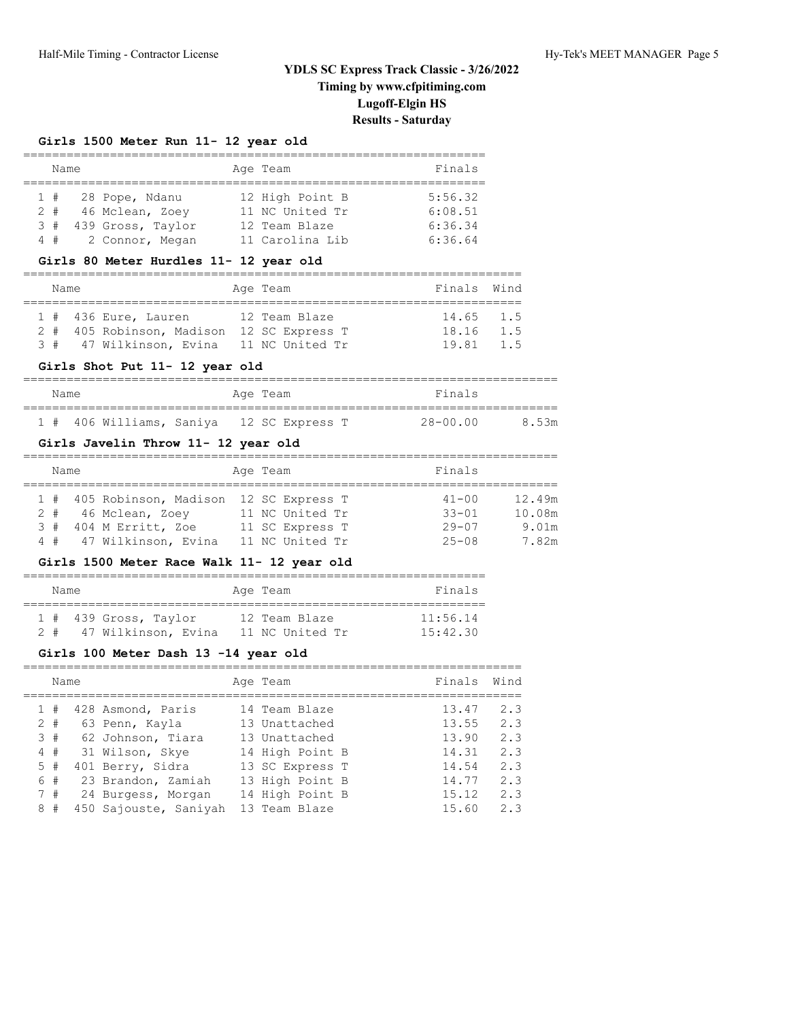# **Girls 1500 Meter Run 11- 12 year old**

| Name |        |  |                     |  | Age Team        | Finals  |  |  |  |  |
|------|--------|--|---------------------|--|-----------------|---------|--|--|--|--|
|      |        |  |                     |  |                 |         |  |  |  |  |
|      | 1#     |  | 28 Pope, Ndanu      |  | 12 High Point B | 5:56.32 |  |  |  |  |
|      |        |  | 2 # 46 Mclean, Zoey |  | 11 NC United Tr | 6:08.51 |  |  |  |  |
| 3#   |        |  | 439 Gross, Taylor   |  | 12 Team Blaze   | 6:36.34 |  |  |  |  |
|      | $4 \#$ |  | 2 Connor, Megan     |  | 11 Carolina Lib | 6:36.64 |  |  |  |  |

#### **Girls 80 Meter Hurdles 11- 12 year old**

| Name |  |                                           |  | Age Team      | Finals Wind |  |  |  |  |  |
|------|--|-------------------------------------------|--|---------------|-------------|--|--|--|--|--|
|      |  |                                           |  |               |             |  |  |  |  |  |
|      |  | $1$ # 436 Eure, Lauren                    |  | 12 Team Blaze | 14.65 1.5   |  |  |  |  |  |
|      |  | 2 # 405 Robinson, Madison 12 SC Express T |  |               | 18.16 1.5   |  |  |  |  |  |
|      |  | 3 # 47 Wilkinson, Evina 11 NC United Tr   |  |               | 19.81 1.5   |  |  |  |  |  |

#### **Girls Shot Put 11- 12 year old**

| Name |  |                                          | Age Team |  |  | Finals |              |       |
|------|--|------------------------------------------|----------|--|--|--------|--------------|-------|
|      |  | 1 # 406 Williams, Saniya 12 SC Express T |          |  |  |        | $28 - 00.00$ | 8.53m |

# **Girls Javelin Throw 11- 12 year old**

| Name |                                           | Age Team        | Finals    |        |
|------|-------------------------------------------|-----------------|-----------|--------|
|      |                                           |                 |           |        |
|      | 1 # 405 Robinson, Madison 12 SC Express T |                 | $41 - 00$ | 12.49m |
|      | 2 # 46 Mclean, Zoev                       | 11 NC United Tr | $33 - 01$ | 10.08m |
|      | 3 # 404 M Erritt, Zoe                     | 11 SC Express T | $29 - 07$ | 9.01m  |
|      | 4 # 47 Wilkinson, Evina                   | 11 NC United Tr | $25 - 08$ | 7.82m  |

# **Girls 1500 Meter Race Walk 11- 12 year old**

| Name  |                         | Age Team        | Finals   |
|-------|-------------------------|-----------------|----------|
|       | $1$ # 439 Gross, Taylor | 12 Team Blaze   | 11:56.14 |
| $2 +$ | 47 Wilkinson, Evina     | 11 NC United Tr | 15:42.30 |

# **Girls 100 Meter Dash 13 -14 year old**

|   | Name  |                       | Age Team        | Finals | Wind |
|---|-------|-----------------------|-----------------|--------|------|
|   | 1#    | 428 Asmond, Paris     | 14 Team Blaze   | 13.47  | 2.3  |
|   | $2 +$ | 63 Penn, Kayla        | 13 Unattached   | 13.55  | 2.3  |
|   | 3#    | 62 Johnson, Tiara     | 13 Unattached   | 13.90  | 2.3  |
|   | 4#    | 31 Wilson, Skye       | 14 High Point B | 14.31  | 2.3  |
|   | 5#    | 401 Berry, Sidra      | 13 SC Express T | 14.54  | 2.3  |
|   | 6#    | 23 Brandon, Zamiah    | 13 High Point B | 14.77  | 2.3  |
|   | 7#    | 24 Burgess, Morgan    | 14 High Point B | 15.12  | 2.3  |
| 8 | #     | 450 Sajouste, Saniyah | 13 Team Blaze   | 15.60  | 2.3  |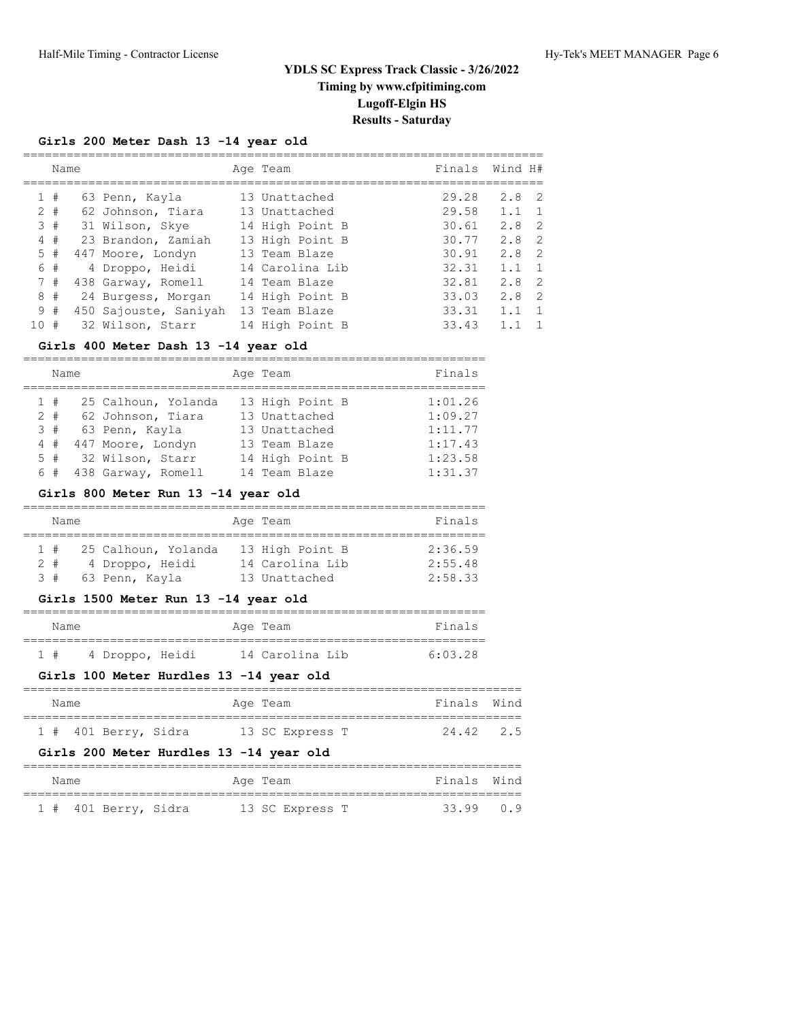# **Girls 200 Meter Dash 13 -14 year old**

|    | Name  |                       | Age Team        | Finals | Wind H#                           |
|----|-------|-----------------------|-----------------|--------|-----------------------------------|
|    | 1#    | 63 Penn, Kayla        | 13 Unattached   | 29.28  | $2.8 \quad 2$                     |
|    | $2 +$ | 62 Johnson, Tiara     | 13 Unattached   | 29.58  | 1.1<br>1                          |
| 3  | #     | 31 Wilson, Skye       | 14 High Point B | 30.61  | 2.8<br>$\overline{2}$             |
| 4  | #     | 23 Brandon, Zamiah    | 13 High Point B | 30.77  | $\overline{2}$<br>2.8             |
| 5  | #     | 447 Moore, Londyn     | 13 Team Blaze   | 30.91  | $\overline{2}$<br>2.8             |
|    | 6 #   | 4 Droppo, Heidi       | 14 Carolina Lib | 32.31  | 1.1<br>1                          |
|    | 7#    | 438 Garway, Romell    | 14 Team Blaze   | 32.81  | 2.8<br>$\overline{2}$             |
|    | 8#    | 24 Burgess, Morgan    | 14 High Point B | 33.03  | 2.8<br>$\overline{\phantom{0}}^2$ |
| 9  | #     | 450 Sajouste, Saniyah | 13 Team Blaze   | 33.31  | 1.1<br>$\overline{1}$             |
| 10 | #     | 32 Wilson, Starr      | 14 High Point B | 33.43  |                                   |
|    |       |                       |                 |        |                                   |

#### **Girls 400 Meter Dash 13 -14 year old**

| Name  |                     | Age Team        | Finals  |
|-------|---------------------|-----------------|---------|
| 1#    | 25 Calhoun, Yolanda | 13 High Point B | 1:01.26 |
| $2 +$ | 62 Johnson, Tiara   | 13 Unattached   | 1:09.27 |
| 3#    | 63 Penn, Kayla      | 13 Unattached   | 1:11.77 |
| 4#    | 447 Moore, Londyn   | 13 Team Blaze   | 1:17.43 |
| 5#    | 32 Wilson, Starr    | 14 High Point B | 1:23.58 |
| 6#    | 438 Garway, Romell  | 14 Team Blaze   | 1:31.37 |

#### **Girls 800 Meter Run 13 -14 year old**

| Name             |                     | Age Team        | Finals  |
|------------------|---------------------|-----------------|---------|
|                  |                     |                 |         |
| 1#               | 25 Calhoun, Yolanda | 13 High Point B | 2:36.59 |
| 2 #              | 4 Droppo, Heidi     | 14 Carolina Lib | 2:55.48 |
| $\overline{3}$ # | 63 Penn, Kayla      | 13 Unattached   | 2:58.33 |

#### **Girls 1500 Meter Run 13 -14 year old**

| Name |                 |  | Age Team        | Finals  |
|------|-----------------|--|-----------------|---------|
| 1#   | 4 Droppo, Heidi |  | 14 Carolina Lib | 6:03.28 |

#### **Girls 100 Meter Hurdles 13 -14 year old**

| Name |                      | Age Team |                 | Finals Wind |  |
|------|----------------------|----------|-----------------|-------------|--|
|      |                      |          |                 |             |  |
|      | 1 # 401 Berry, Sidra |          | 13 SC Express T | 24.42 2.5   |  |

# **Girls 200 Meter Hurdles 13 -14 year old**

| Name |                      | Age Team |                 |  | Finals Wind |  |
|------|----------------------|----------|-----------------|--|-------------|--|
|      | 1 # 401 Berry, Sidra |          | 13 SC Express T |  | $33.99$ 0.9 |  |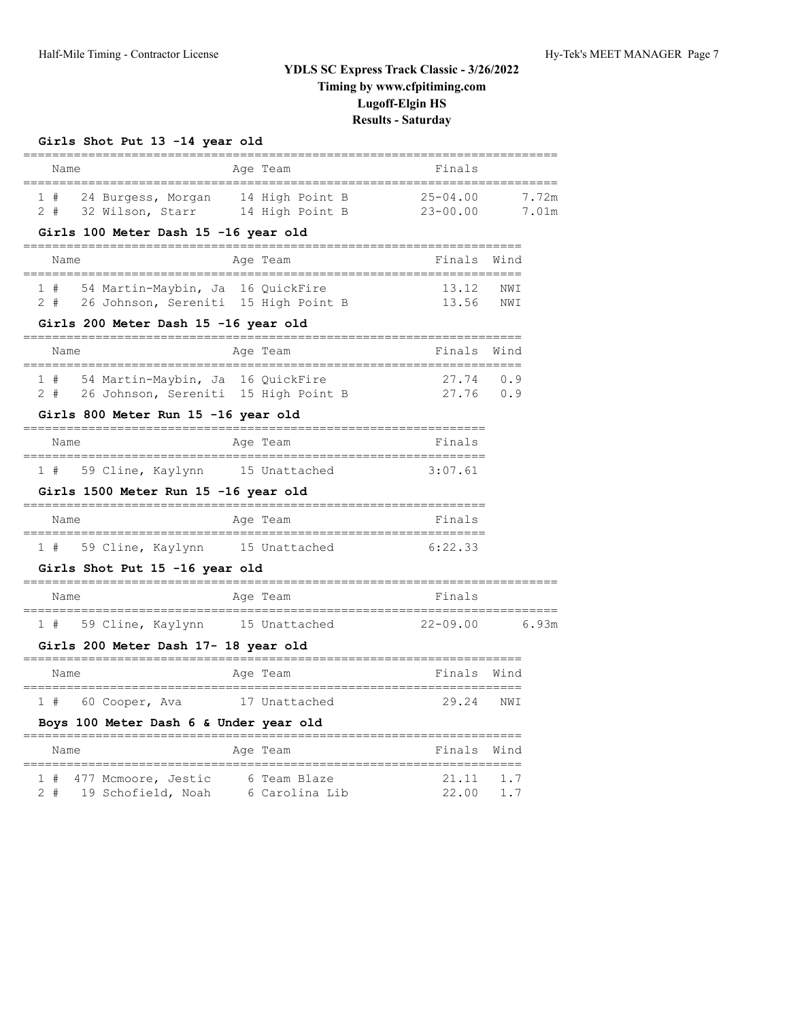# **Girls Shot Put 13 -14 year old**

| Name                                                                                                                       | Age Team                       | Finals                       |                |
|----------------------------------------------------------------------------------------------------------------------------|--------------------------------|------------------------------|----------------|
| 24 Burgess, Morgan 14 High Point B<br>1#<br>2#<br>32 Wilson, Starr 14 High Point B<br>Girls 100 Meter Dash 15 -16 year old |                                | $25 - 04.00$<br>$23 - 00.00$ | 7.72m<br>7.01m |
| Name                                                                                                                       | Age Team                       | Finals Wind                  |                |
| 1 # 54 Martin-Maybin, Ja 16 QuickFire<br>26 Johnson, Sereniti 15 High Point B<br>2#                                        |                                | 13.12<br>13.56               | NWI<br>NWI     |
| Girls 200 Meter Dash 15 -16 year old                                                                                       |                                |                              |                |
| Name                                                                                                                       | Age Team                       | Finals                       | Wind           |
| 54 Martin-Maybin, Ja 16 QuickFire<br>1#<br>$2 +$<br>26 Johnson, Sereniti 15 High Point B                                   |                                | 27.74<br>27.76               | 0.9<br>0.9     |
| Girls 800 Meter Run 15 -16 year old                                                                                        |                                |                              |                |
| Name                                                                                                                       | Age Team                       | Finals                       |                |
| 59 Cline, Kaylynn 15 Unattached<br>1#                                                                                      |                                | 3:07.61                      |                |
| Girls 1500 Meter Run 15 -16 year old                                                                                       |                                |                              |                |
| Name                                                                                                                       | Age Team                       | Finals                       |                |
| 1 # 59 Cline, Kaylynn                                                                                                      | 15 Unattached 6:22.33          |                              |                |
| Girls Shot Put 15 -16 year old                                                                                             |                                |                              |                |
| Name                                                                                                                       | Age Team                       | Finals                       |                |
| 1 # 59 Cline, Kaylynn 15 Unattached                                                                                        |                                | $22 - 09.00$                 | 6.93m          |
| Girls 200 Meter Dash 17- 18 year old                                                                                       |                                |                              |                |
| Name                                                                                                                       | Age Team                       | Finals                       | Wind           |
| 1 # 60 Cooper, Ava 17 Unattached                                                                                           |                                | 29.24                        | NWI            |
| Boys 100 Meter Dash 6 & Under year old                                                                                     |                                |                              |                |
| Name                                                                                                                       | Age Team                       | Finals Wind                  |                |
| 1 # 477 Mcmoore, Jestic<br>19 Schofield, Noah<br>$2 +$                                                                     | 6 Team Blaze<br>6 Carolina Lib | 21.11<br>22.00               | 1.7<br>1.7     |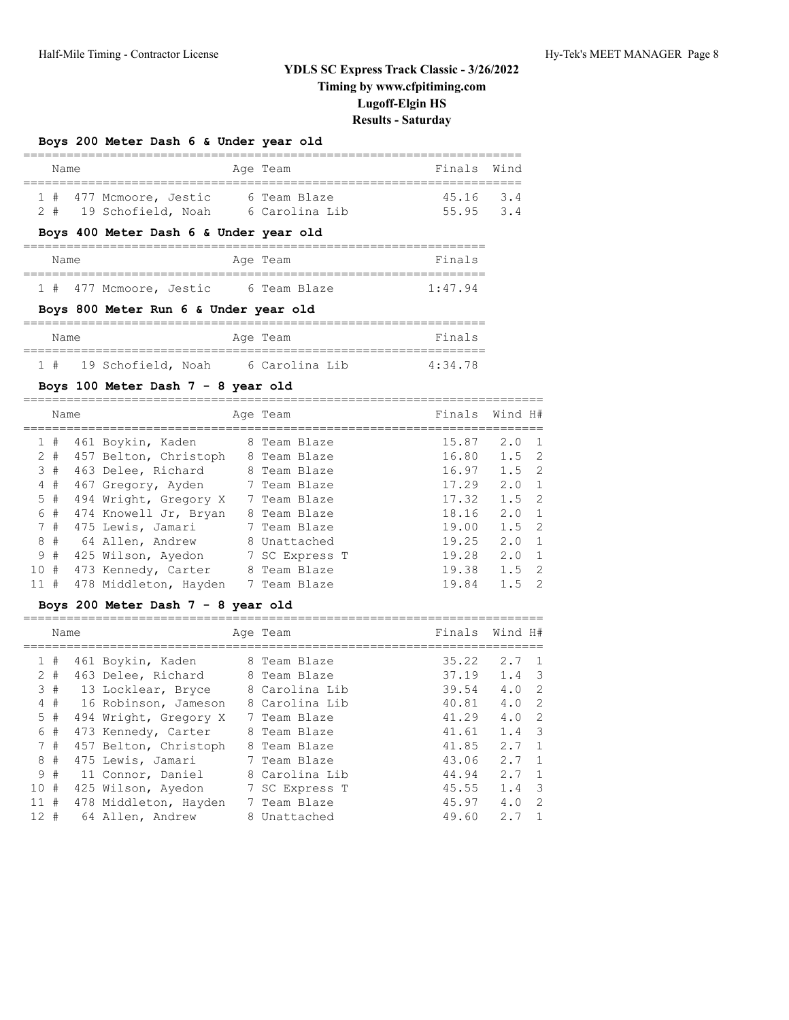# **Boys 200 Meter Dash 6 & Under year old**

|  | Name |                         | Age Team       | Finals Wind |  |
|--|------|-------------------------|----------------|-------------|--|
|  |      |                         |                |             |  |
|  |      | 1 # 477 Mcmoore, Jestic | 6 Team Blaze   | $45.16$ 3.4 |  |
|  |      | 2 # 19 Schofield, Noah  | 6 Carolina Lib | 55.95 3.4   |  |

# **Boys 400 Meter Dash 6 & Under year old**

| Name |                         |  | Age Team |              | Finals  |  |
|------|-------------------------|--|----------|--------------|---------|--|
|      |                         |  |          |              |         |  |
|      | 1 # 477 Mcmoore, Jestic |  |          | 6 Team Blaze | 1:47.94 |  |

#### **Boys 800 Meter Run 6 & Under year old**

| Name   |                    |  | Age Team       | Finals  |
|--------|--------------------|--|----------------|---------|
| $1 \#$ | 19 Schofield, Noah |  | 6 Carolina Lib | 4:34.78 |

# **Boys 100 Meter Dash 7 - 8 year old**

|              | Name  |                       | Age Team       | Finals | Wind H#       |                |
|--------------|-------|-----------------------|----------------|--------|---------------|----------------|
| $\mathbf{1}$ | #     | 461 Boykin, Kaden     | 8 Team Blaze   | 15.87  | 2.0           | $\overline{1}$ |
|              | $2 +$ | 457 Belton, Christoph | 8 Team Blaze   | 16.80  | $1.5 \quad 2$ |                |
|              | 3#    | 463 Delee, Richard    | 8 Team Blaze   | 16.97  | 1.5           | $\overline{2}$ |
| 4            | #     | 467 Gregory, Ayden    | 7 Team Blaze   | 17.29  | 2.0           | 1              |
|              | 5#    | 494 Wright, Gregory X | 7 Team Blaze   | 17.32  | $1.5 \quad 2$ |                |
|              | 6 #   | 474 Knowell Jr, Bryan | 8 Team Blaze   | 18.16  | 2.0           | $\overline{1}$ |
|              | 7#    | 475 Lewis, Jamari     | 7 Team Blaze   | 19.00  | 1.5           | $\overline{2}$ |
| 8            | #     | 64 Allen, Andrew      | 8 Unattached   | 19.25  | 2.0           | $\overline{1}$ |
|              | 9#    | 425 Wilson, Ayedon    | 7 SC Express T | 19.28  | 2.0           | 1              |
| 10#          |       | 473 Kennedy, Carter   | 8 Team Blaze   | 19.38  | 1.5           | $\overline{2}$ |
| 11           | #     | 478 Middleton, Hayden | 7 Team Blaze   | 19.84  | 1.5           | 2              |

#### **Boys 200 Meter Dash 7 - 8 year old**

|              | Name  |                       | Age Team       | Finals | Wind H# |                |
|--------------|-------|-----------------------|----------------|--------|---------|----------------|
|              |       |                       |                |        |         |                |
| $\mathbf{1}$ | #     | 461 Boykin, Kaden     | 8 Team Blaze   | 35.22  | 2.7     | $\overline{1}$ |
|              | $2 +$ | 463 Delee, Richard    | 8 Team Blaze   | 37.19  | 1.4     | -3             |
|              | 3#    | 13 Locklear, Bryce    | 8 Carolina Lib | 39.54  | 4.0     | -2             |
| 4            | #     | 16 Robinson, Jameson  | 8 Carolina Lib | 40.81  | 4.0     | -2             |
| 5            | #     | 494 Wright, Gregory X | 7 Team Blaze   | 41.29  | 4.0     | -2             |
|              | 6 #   | 473 Kennedy, Carter   | 8 Team Blaze   | 41.61  | 1.4     | -3             |
|              | 7#    | 457 Belton, Christoph | 8 Team Blaze   | 41.85  | 2.7     | $\overline{1}$ |
| 8            | #     | 475 Lewis, Jamari     | 7 Team Blaze   | 43.06  | 2.7     | $\overline{1}$ |
|              | 9#    | 11 Connor, Daniel     | 8 Carolina Lib | 44.94  | 2.7     | $\overline{1}$ |
| 10#          |       | 425 Wilson, Ayedon    | 7 SC Express T | 45.55  | 1.4     | -3             |
| 11#          |       | 478 Middleton, Hayden | 7 Team Blaze   | 45.97  | 4.0     | -2             |
| $12 +$       |       | 64 Allen, Andrew      | 8 Unattached   | 49.60  | 2.7     |                |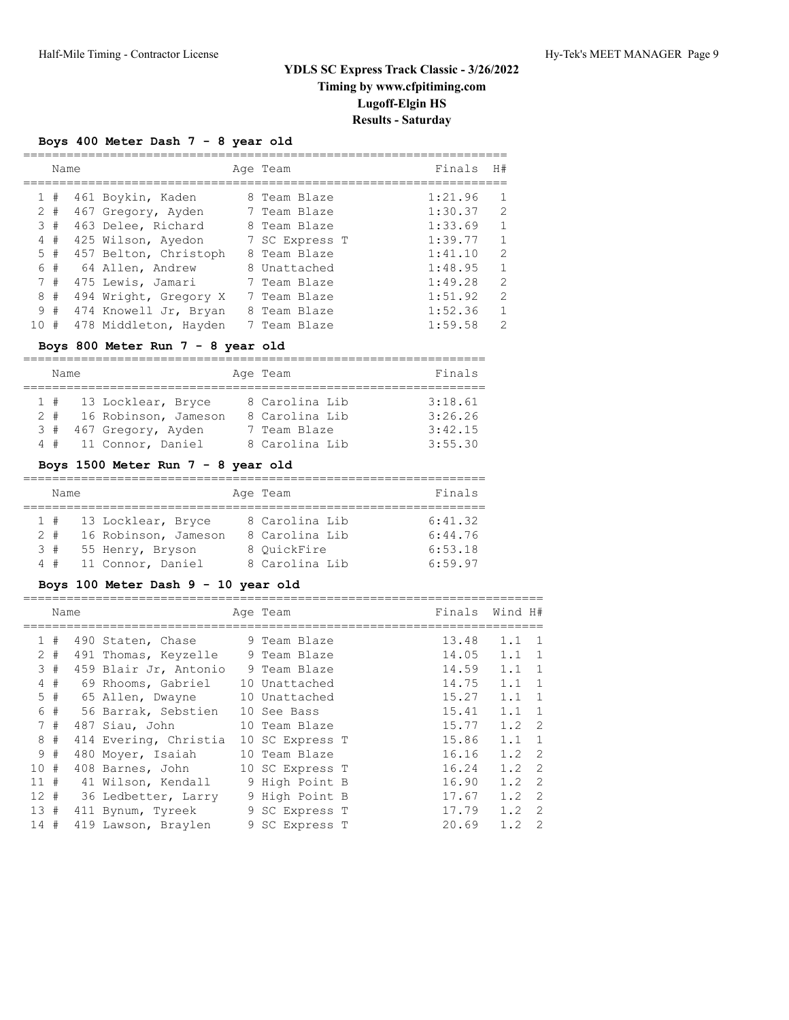# **Boys 400 Meter Dash 7 - 8 year old**

|                | Name  |                       | Age Team       | Finals  | H#            |
|----------------|-------|-----------------------|----------------|---------|---------------|
|                |       |                       |                |         |               |
|                | 1#    | 461 Boykin, Kaden     | 8 Team Blaze   | 1:21.96 |               |
|                | $2 +$ | 467 Gregory, Ayden    | 7 Team Blaze   | 1:30.37 | $\mathcal{L}$ |
|                | 3#    | 463 Delee, Richard    | 8 Team Blaze   | 1:33.69 | $\mathbf{1}$  |
| $\overline{4}$ | #     | 425 Wilson, Ayedon    | 7 SC Express T | 1:39.77 | 1             |
|                | 5#    | 457 Belton, Christoph | 8 Team Blaze   | 1:41.10 | $\mathcal{L}$ |
|                | 6#    | 64 Allen, Andrew      | 8 Unattached   | 1:48.95 | 1             |
|                | 7#    | 475 Lewis, Jamari     | 7 Team Blaze   | 1:49.28 | $\mathcal{L}$ |
| 8              | #     | 494 Wright, Gregory X | 7 Team Blaze   | 1:51.92 | $\mathcal{L}$ |
| 9              | #     | 474 Knowell Jr, Bryan | 8 Team Blaze   | 1:52.36 | 1             |
| 10             | #     | 478 Middleton, Hayden | 7 Team Blaze   | 1:59.58 | $\mathcal{D}$ |

# **Boys 800 Meter Run 7 - 8 year old**

|    | Name |                       | Age Team       | Finals  |
|----|------|-----------------------|----------------|---------|
|    |      |                       |                |         |
|    | 1#   | 13 Locklear, Bryce    | 8 Carolina Lib | 3:18.61 |
| 2# |      | 16 Robinson, Jameson  | 8 Carolina Lib | 3:26.26 |
| 3# |      | 467 Gregory, Ayden    | 7 Team Blaze   | 3:42.15 |
|    |      | 4 # 11 Connor, Daniel | 8 Carolina Lib | 3:55.30 |

# **Boys 1500 Meter Run 7 - 8 year old**

|       | Name |                      | Age Team       | Finals  |
|-------|------|----------------------|----------------|---------|
|       | 1#   | 13 Locklear, Bryce   | 8 Carolina Lib | 6:41.32 |
| $2 +$ |      | 16 Robinson, Jameson | 8 Carolina Lib | 6:44.76 |
|       | 3#   | 55 Henry, Bryson     | 8 OuickFire    | 6:53.18 |
|       | 4#   | 11 Connor, Daniel    | 8 Carolina Lib | 6:59.97 |

# **Boys 100 Meter Dash 9 - 10 year old**

|        | Name  |                       | Age Team        | Finals | Wind H# |                |
|--------|-------|-----------------------|-----------------|--------|---------|----------------|
|        | #     |                       | 9 Team Blaze    | 13.48  | 1.1     | $\overline{1}$ |
|        |       | 490 Staten, Chase     |                 |        |         |                |
|        | $2 +$ | 491 Thomas, Keyzelle  | 9 Team Blaze    | 14.05  | 1.1     | $\overline{1}$ |
|        | 3#    | 459 Blair Jr, Antonio | 9 Team Blaze    | 14.59  | 1.1     | $\overline{1}$ |
| 4      | #     | 69 Rhooms, Gabriel    | 10 Unattached   | 14.75  | 1.1     | $\overline{1}$ |
|        | $5$ # | 65 Allen, Dwayne      | 10 Unattached   | 15.27  | 1.1     | $\overline{1}$ |
|        | 6 #   | 56 Barrak, Sebstien   | 10 See Bass     | 15.41  | 1.1     | $\overline{1}$ |
|        | 7#    | 487 Siau, John        | 10 Team Blaze   | 15.77  | 1.2     | -2             |
|        | 8#    | 414 Evering, Christia | 10 SC Express T | 15.86  | 1.1     | $\overline{1}$ |
|        | 9#    | 480 Moyer, Isaiah     | 10 Team Blaze   | 16.16  | 1.2     | -2             |
| 10#    |       | 408 Barnes, John      | 10 SC Express T | 16.24  | 1.2     | - 2            |
| 11#    |       | 41 Wilson, Kendall    | 9 High Point B  | 16.90  | 1.2     | -2             |
| $12 +$ |       | 36 Ledbetter, Larry   | 9 High Point B  | 17.67  | 1.2     | -2             |
| 13#    |       | 411 Bynum, Tyreek     | 9 SC Express T  | 17.79  | 1.2     | $\overline{2}$ |
| 14#    |       | 419 Lawson, Braylen   | 9 SC Express T  | 20.69  | 1.2     | 2              |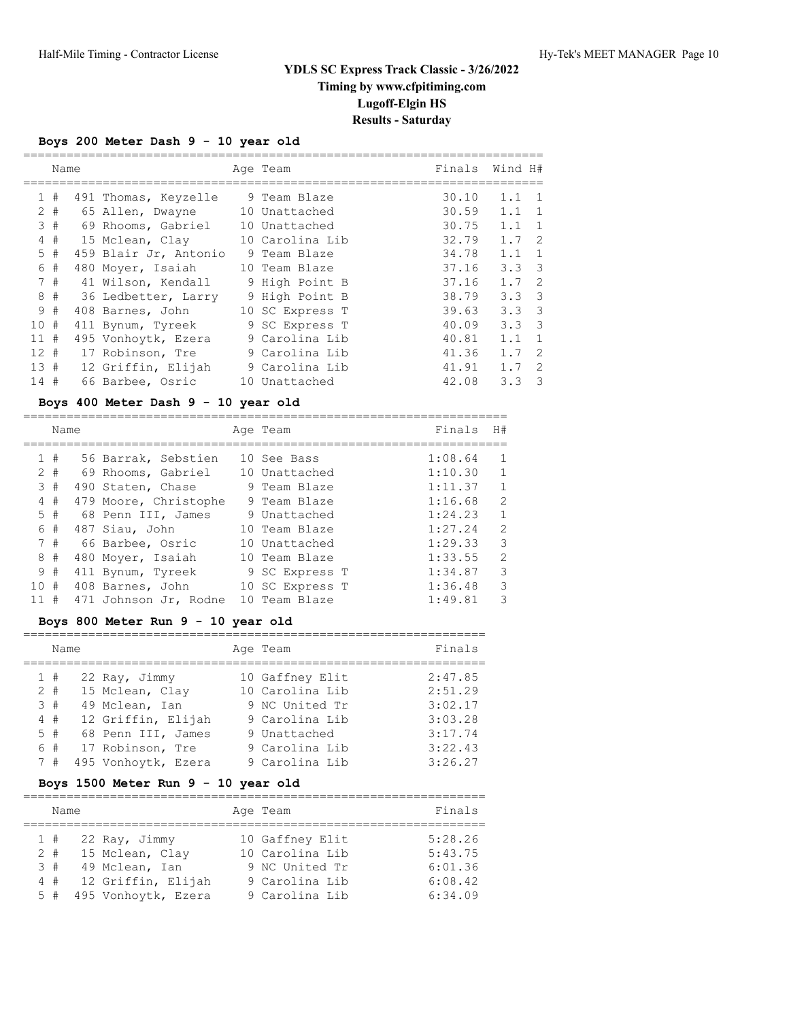# **Boys 200 Meter Dash 9 - 10 year old**

|          | Name  |                       | Age Team        | Finals | Wind H#       |                         |
|----------|-------|-----------------------|-----------------|--------|---------------|-------------------------|
| 1.       | #     | 491 Thomas, Keyzelle  | 9 Team Blaze    | 30.10  | 1.1           | $\overline{1}$          |
|          | $2 +$ | 65 Allen, Dwayne      | 10 Unattached   | 30.59  | 1.1           | 1                       |
|          | 3#    | 69 Rhooms, Gabriel    | 10 Unattached   | 30.75  | 1.1           | 1                       |
| 4        | #     | 15 Mclean, Clay       | 10 Carolina Lib | 32.79  | 1.7           | $\overline{2}$          |
|          | 5#    | 459 Blair Jr, Antonio | 9 Team Blaze    | 34.78  | 1.1           | 1                       |
|          | 6 #   | 480 Moyer, Isaiah     | 10 Team Blaze   | 37.16  | 3.3           | $\overline{\mathbf{3}}$ |
|          | 7#    | 41 Wilson, Kendall    | 9 High Point B  | 37.16  | 1.7           | $\overline{2}$          |
|          | 8#    | 36 Ledbetter, Larry   | 9 High Point B  | 38.79  | 3.3           | $\overline{\mathbf{3}}$ |
|          | 9#    | 408 Barnes, John      | 10 SC Express T | 39.63  | $3.3 \quad 3$ |                         |
| 10#      |       | 411 Bynum, Tyreek     | 9 SC Express T  | 40.09  | 3.3           | $\overline{\mathbf{3}}$ |
| 11#      |       | 495 Vonhoytk, Ezera   | 9 Carolina Lib  | 40.81  | 1.1           | $\overline{1}$          |
| $12 \pm$ |       | 17 Robinson, Tre      | 9 Carolina Lib  | 41.36  | 1.7           | -2                      |
| 13#      |       | 12 Griffin, Elijah    | 9 Carolina Lib  | 41.91  | 1.7           | -2                      |
| 14#      |       | 66 Barbee, Osric      | 10 Unattached   | 42.08  | 3.3           | $\mathbf{3}$            |

# **Boys 400 Meter Dash 9 - 10 year old**

|               | Name  |                       |    | Age Team        | Finals  | H#             |
|---------------|-------|-----------------------|----|-----------------|---------|----------------|
|               |       |                       |    |                 |         |                |
|               | 1#    | 56 Barrak, Sebstien   |    | 10 See Bass     | 1:08.64 | $\mathbf{1}$   |
|               | $2 +$ | 69 Rhooms, Gabriel    |    | 10 Unattached   | 1:10.30 | $\mathbf{1}$   |
| $\mathcal{E}$ | #     | 490 Staten, Chase     |    | 9 Team Blaze    | 1:11.37 | $\mathbf{1}$   |
| 4             | #     | 479 Moore, Christophe |    | 9 Team Blaze    | 1:16.68 | $\overline{2}$ |
|               | $5$ # | 68 Penn III, James    |    | 9 Unattached    | 1:24.23 | $\mathbf{1}$   |
|               | 6 #   | 487 Siau, John        |    | 10 Team Blaze   | 1:27.24 | $\overline{2}$ |
|               | 7#    | 66 Barbee, Osric      |    | 10 Unattached   | 1:29.33 | 3              |
| 8             | #     | 480 Moyer, Isaiah     |    | 10 Team Blaze   | 1:33.55 | $\overline{2}$ |
|               | 9#    | 411 Bynum, Tyreek     |    | 9 SC Express T  | 1:34.87 | 3              |
| 10            | #     | 408 Barnes, John      |    | 10 SC Express T | 1:36.48 | 3              |
|               | #     | 471 Johnson Jr, Rodne | 10 | Team Blaze      | 1:49.81 | 3              |

# **Boys 800 Meter Run 9 - 10 year old**

| Name  |                     | Age Team        | Finals  |
|-------|---------------------|-----------------|---------|
| 1#    | 22 Ray, Jimmy       | 10 Gaffney Elit | 2:47.85 |
| $2 +$ | 15 Mclean, Clay     | 10 Carolina Lib | 2:51.29 |
| 3#    | 49 Mclean, Ian      | 9 NC United Tr  | 3:02.17 |
| 4#    | 12 Griffin, Elijah  | 9 Carolina Lib  | 3:03.28 |
| 5#    | 68 Penn III, James  | 9 Unattached    | 3:17.74 |
| 6 #   | 17 Robinson, Tre    | 9 Carolina Lib  | 3:22.43 |
| 7#    | 495 Vonhoytk, Ezera | 9 Carolina Lib  | 3:26.27 |

# **Boys 1500 Meter Run 9 - 10 year old**

|       | Name  |                     | Age Team        | Finals  |
|-------|-------|---------------------|-----------------|---------|
|       | 1#    | 22 Ray, Jimmy       | 10 Gaffney Elit | 5:28.26 |
| $2 +$ |       | 15 Mclean, Clay     | 10 Carolina Lib | 5:43.75 |
|       | 3#    | 49 Mclean, Ian      | 9 NC United Tr  | 6:01.36 |
|       | 4#    | 12 Griffin, Elijah  | 9 Carolina Lib  | 6:08.42 |
|       | $5 +$ | 495 Vonhoytk, Ezera | 9 Carolina Lib  | 6:34.09 |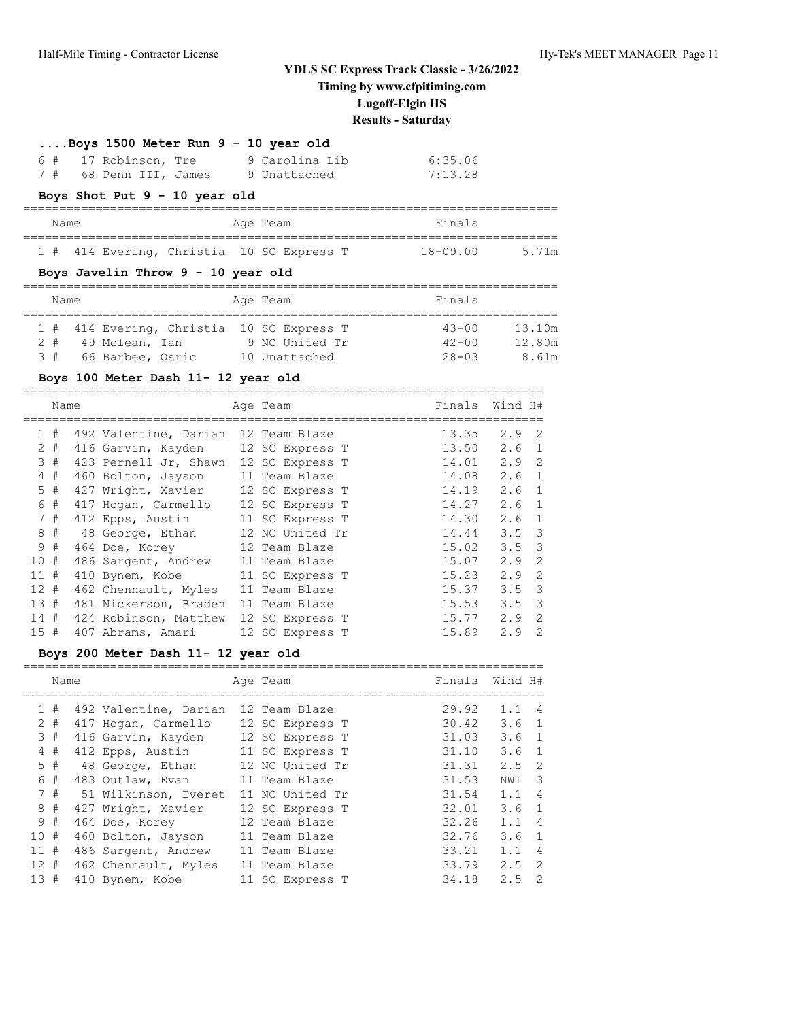| $\ldots$ Boys 1500 Meter Run 9 - 10 year old |  |                        |  |  |                |         |  |  |  |
|----------------------------------------------|--|------------------------|--|--|----------------|---------|--|--|--|
|                                              |  | 6 # 17 Robinson, Tre   |  |  | 9 Carolina Lib | 6:35.06 |  |  |  |
|                                              |  | 7 # 68 Penn III, James |  |  | 9 Unattached   | 7:13.28 |  |  |  |

# **Boys Shot Put 9 - 10 year old**

| Name |  |  |  | Age Team                                  | Finals |              |  |       |
|------|--|--|--|-------------------------------------------|--------|--------------|--|-------|
|      |  |  |  |                                           |        |              |  |       |
|      |  |  |  | 1 # 414 Evering, Christia 10 SC Express T |        | $18 - 09.00$ |  | 5.71m |

# **Boys Javelin Throw 9 - 10 year old**

| Name |                      |  | Age Team                                  | Finals    |        |
|------|----------------------|--|-------------------------------------------|-----------|--------|
|      |                      |  | 1 # 414 Evering, Christia 10 SC Express T | $43 - 00$ | 13.10m |
| 2#   | 49 Mclean, Ian       |  | 9 NC United Tr                            | $42 - 00$ | 12.80m |
|      | 3 # 66 Barbee, Osric |  | 10 Unattached                             | $28 - 03$ | 8.61m  |

# **Boys 100 Meter Dash 11- 12 year old**

|        | Name  |                       | Age Team        | Finals | Wind H#       |                         |
|--------|-------|-----------------------|-----------------|--------|---------------|-------------------------|
|        |       |                       |                 |        |               |                         |
|        | 1#    | 492 Valentine, Darian | 12 Team Blaze   | 13.35  | $2.9 \quad 2$ |                         |
|        | $2 +$ | 416 Garvin, Kayden    | 12 SC Express T | 13.50  | $2.6 \quad 1$ |                         |
|        | 3#    | 423 Pernell Jr, Shawn | 12 SC Express T | 14.01  | 2.9           | - 2                     |
|        | 4#    | 460 Bolton, Jayson    | 11 Team Blaze   | 14.08  | $2.6 \quad 1$ |                         |
|        | $5$ # | 427 Wright, Xavier    | 12 SC Express T | 14.19  | $2.6 \quad 1$ |                         |
| 6      | #     | 417 Hogan, Carmello   | 12 SC Express T | 14.27  | $2.6 \quad 1$ |                         |
|        | 7#    | 412 Epps, Austin      | 11 SC Express T | 14.30  | $2.6 \quad 1$ |                         |
|        | 8#    | 48 George, Ethan      | 12 NC United Tr | 14.44  | $3.5 \quad 3$ |                         |
|        | 9#    | 464 Doe, Korey        | 12 Team Blaze   | 15.02  | $3.5 \quad 3$ |                         |
| 10 #   |       | 486 Sargent, Andrew   | 11 Team Blaze   | 15.07  | 2.9           | 2                       |
| $11$ # |       | 410 Bynem, Kobe       | 11 SC Express T | 15.23  | 2.9           | 2                       |
| $12 +$ |       | 462 Chennault, Myles  | 11 Team Blaze   | 15.37  | $3.5 \quad 3$ |                         |
| 13#    |       | 481 Nickerson, Braden | 11 Team Blaze   | 15.53  | 3.5           | $\overline{\mathbf{3}}$ |
| 14 #   |       | 424 Robinson, Matthew | 12 SC Express T | 15.77  | 2.9           | 2                       |
| 15#    |       | 407 Abrams, Amari     | 12 SC Express T | 15.89  | 2.9           | 2                       |

# **Boys 200 Meter Dash 11- 12 year old**

|     | Name  |                                  | Age Team        | Finals | Wind H#       |                |
|-----|-------|----------------------------------|-----------------|--------|---------------|----------------|
|     |       |                                  | 12 Team Blaze   | 29.92  | $1.1 \quad 4$ |                |
|     | 1#    | 492 Valentine, Darian            |                 |        |               |                |
|     | $2 +$ | 417 Hogan, Carmello              | 12 SC Express T | 30.42  | $3.6 \quad 1$ |                |
|     | 3#    | 416 Garvin, Kayden               | 12 SC Express T | 31.03  | $3.6 \quad 1$ |                |
|     | $4$ # | 412 Epps, Austin 11 SC Express T |                 | 31.10  | $3.6 \quad 1$ |                |
|     | $5$ # | 48 George, Ethan                 | 12 NC United Tr | 31.31  | $2.5 \quad 2$ |                |
|     | 6#    | 483 Outlaw, Evan                 | 11 Team Blaze   | 31.53  | NWI 3         |                |
|     | 7#    | 51 Wilkinson, Everet             | 11 NC United Tr | 31.54  | 1.1           | $\overline{4}$ |
|     | 8#    | 427 Wright, Xavier               | 12 SC Express T | 32.01  | 3.6           | $\overline{1}$ |
|     | 9#    | 464 Doe, Korey                   | 12 Team Blaze   | 32.26  | 1.1           | $\overline{4}$ |
| 10# |       | 460 Bolton, Jayson               | 11 Team Blaze   | 32.76  | 3.6           | $\overline{1}$ |
| 11# |       | 486 Sargent, Andrew              | 11 Team Blaze   | 33.21  | 1.1           | $\overline{4}$ |
| 12# |       | 462 Chennault, Myles             | 11 Team Blaze   | 33.79  | $2.5 \quad 2$ |                |
| 13# |       | 410 Bynem, Kobe                  | 11 SC Express T | 34.18  | 2.5           | $\overline{2}$ |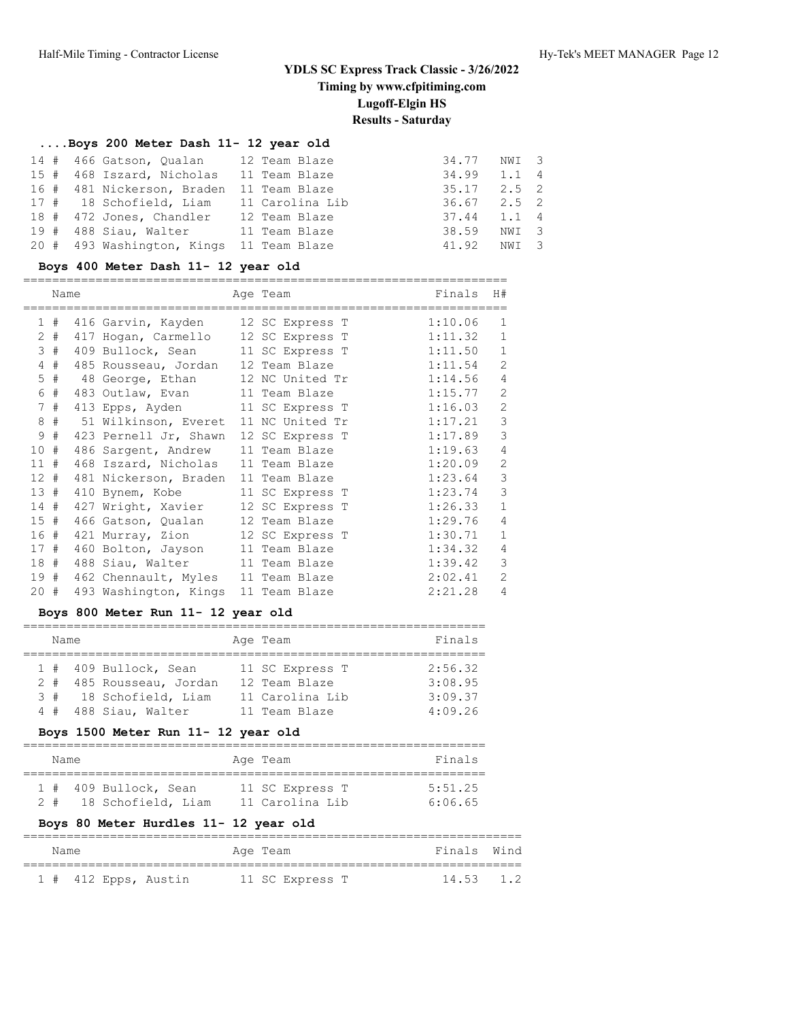# **....Boys 200 Meter Dash 11- 12 year old**

| 14 # 466 Gatson, Oualan    | 12 Team Blaze   | 34.77 NWI 3     |               |  |
|----------------------------|-----------------|-----------------|---------------|--|
| 15 # 468 Iszard, Nicholas  | 11 Team Blaze   | 34.99           | $1.1 \quad 4$ |  |
| 16 # 481 Nickerson, Braden | 11 Team Blaze   | $35.17$ $2.5$ 2 |               |  |
| 17 # 18 Schofield, Liam    | 11 Carolina Lib | $36.67$ $2.5$ 2 |               |  |
| 18 # 472 Jones, Chandler   | 12 Team Blaze   | $37.44$ 1.1 4   |               |  |
| 19 # 488 Siau, Walter      | 11 Team Blaze   | 38.59           | NWI 3         |  |
| 20 # 493 Washington, Kings | 11 Team Blaze   | 41.92           | NWI 3         |  |

# **Boys 400 Meter Dash 11- 12 year old**

|                 | Name |                                       | Age Team        | Finals  | H#             |
|-----------------|------|---------------------------------------|-----------------|---------|----------------|
| 1               | #    | 416 Garvin, Kayden                    | 12 SC Express T | 1:10.06 | 1              |
| 2               | #    | 417 Hogan, Carmello 12 SC Express T   |                 | 1:11.32 | $\mathbf{1}$   |
|                 | 3#   | 409 Bullock, Sean 11 SC Express T     |                 | 1:11.50 | $\mathbf{1}$   |
| 4               | #    | 485 Rousseau, Jordan 12 Team Blaze    |                 | 1:11.54 | 2              |
| 5               | #    | 48 George, Ethan                      | 12 NC United Tr | 1:14.56 | $\overline{4}$ |
| 6               | #    | 483 Outlaw, Evan                      | 11 Team Blaze   | 1:15.77 | $\mathbf{2}$   |
| 7               | #    | 413 Epps, Ayden 11 SC Express T       |                 | 1:16.03 | $\mathbf{2}$   |
| 8               | #    | 51 Wilkinson, Everet 11 NC United Tr  |                 | 1:17.21 | 3              |
| 9               | #    | 423 Pernell Jr, Shawn 12 SC Express T |                 | 1:17.89 | 3              |
| 10 <sub>o</sub> | #    | 486 Sargent, Andrew                   | 11 Team Blaze   | 1:19.63 | 4              |
| 11              | #    | 468 Iszard, Nicholas                  | 11 Team Blaze   | 1:20.09 | $\mathbf{2}$   |
| 12#             |      | 481 Nickerson, Braden                 | 11 Team Blaze   | 1:23.64 | 3              |
| 13#             |      | 410 Bynem, Kobe                       | 11 SC Express T | 1:23.74 | 3              |
| 14#             |      | 427 Wright, Xavier                    | 12 SC Express T | 1:26.33 | $\mathbf{1}$   |
| 15#             |      | 466 Gatson, Qualan                    | 12 Team Blaze   | 1:29.76 | 4              |
| 16 #            |      | 421 Murray, Zion                      | 12 SC Express T | 1:30.71 | $\mathbf{1}$   |
| 17#             |      | 460 Bolton, Jayson                    | 11 Team Blaze   | 1:34.32 | 4              |
| 18#             |      | 488 Siau, Walter 11 Team Blaze        |                 | 1:39.42 | 3              |
| 19#             |      | 462 Chennault, Myles 11 Team Blaze    |                 | 2:02.41 | $\overline{2}$ |
| $20 +$          |      | 493 Washington, Kings                 | 11 Team Blaze   | 2:21.28 | 4              |

# **Boys 800 Meter Run 11- 12 year old**

| Name  |  |                        |  | Age Team        | Finals  |  |  |  |  |  |
|-------|--|------------------------|--|-----------------|---------|--|--|--|--|--|
|       |  |                        |  |                 |         |  |  |  |  |  |
|       |  | 1 # 409 Bullock, Sean  |  | 11 SC Express T | 2:56.32 |  |  |  |  |  |
| $2 +$ |  | 485 Rousseau, Jordan   |  | 12 Team Blaze   | 3:08.95 |  |  |  |  |  |
|       |  | 3 # 18 Schofield, Liam |  | 11 Carolina Lib | 3:09.37 |  |  |  |  |  |
|       |  | 4 # 488 Siau, Walter   |  | 11 Team Blaze   | 4:09.26 |  |  |  |  |  |

# **Boys 1500 Meter Run 11- 12 year old**

|    | Name |                       | Age Team        | Finals  |
|----|------|-----------------------|-----------------|---------|
|    |      | 1 # 409 Bullock, Sean | 11 SC Express T | 5:51.25 |
| 2# |      | 18 Schofield, Liam    | 11 Carolina Lib | 6:06.65 |

# **Boys 80 Meter Hurdles 11- 12 year old**

| Name |  |                      | Age Team |                 | Finals Wind |  |
|------|--|----------------------|----------|-----------------|-------------|--|
|      |  |                      |          |                 |             |  |
|      |  | 1 # 412 Epps, Austin |          | 11 SC Express T | $14.53$ 1.2 |  |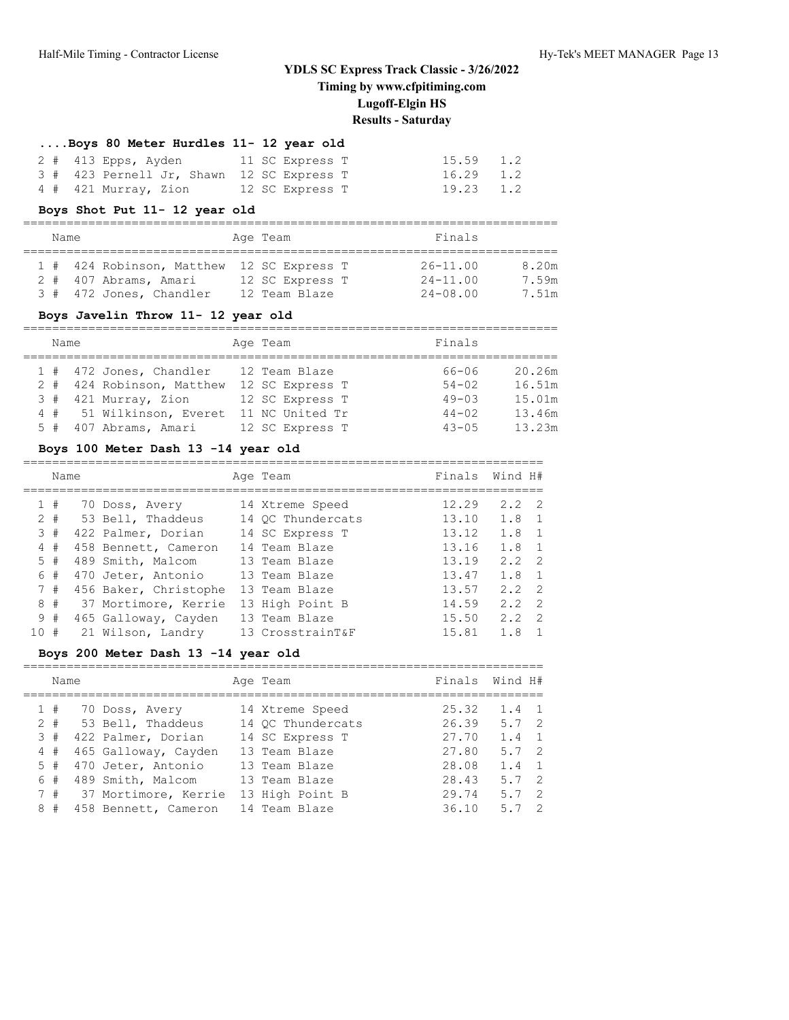========================================================================

#### **....Boys 80 Meter Hurdles 11- 12 year old**

|  | 2 # 413 Epps, Ayden                       |  | 11 SC Express T | $15.59$ $1.2$ |  |
|--|-------------------------------------------|--|-----------------|---------------|--|
|  | 3 # 423 Pernell Jr, Shawn 12 SC Express T |  |                 | $16.29$ 1.2   |  |
|  | 4 # 421 Murray, Zion                      |  | 12 SC Express T | 19.23 1.2     |  |

#### **Boys Shot Put 11- 12 year old**

# ==========================================================================

| Name |                                           | Age Team        | Finals       |       |  |
|------|-------------------------------------------|-----------------|--------------|-------|--|
|      |                                           |                 |              |       |  |
|      | 1 # 424 Robinson, Matthew 12 SC Express T |                 | $26 - 11.00$ | 8.20m |  |
|      | 2 # 407 Abrams, Amari                     | 12 SC Express T | $24 - 11.00$ | 7.59m |  |
|      | 3 # 472 Jones, Chandler                   | 12 Team Blaze   | $24 - 08.00$ | 7.51m |  |

#### **Boys Javelin Throw 11- 12 year old**

| Name |                           | Age Team        | Finals    |        |
|------|---------------------------|-----------------|-----------|--------|
|      | 1 # 472 Jones, Chandler   | 12 Team Blaze   | 66-06     | 20.26m |
|      | 2 # 424 Robinson, Matthew | 12 SC Express T | $54 - 02$ | 16.51m |
|      | $3$ # 421 Murray, Zion    | 12 SC Express T | $49 - 03$ | 15.01m |
|      | 4 # 51 Wilkinson, Everet  | 11 NC United Tr | $44 - 02$ | 13.46m |
|      | 5 # 407 Abrams, Amari     | 12 SC Express T | $43 - 05$ | 13.23m |

#### **Boys 100 Meter Dash 13 -14 year old**

|     | Name  |                       | Age Team          | Finals Wind H# |               |                          |
|-----|-------|-----------------------|-------------------|----------------|---------------|--------------------------|
|     | 1#    | 70 Doss, Avery        | 14 Xtreme Speed   | 12.29          | $2.2 \quad 2$ |                          |
|     | $2 +$ | 53 Bell, Thaddeus     | 14 OC Thundercats | 13.10          | $1.8 \quad 1$ |                          |
|     | 3#    | 422 Palmer, Dorian    | 14 SC Express T   | 13.12          | $1.8 \quad 1$ |                          |
|     | 4#    | 458 Bennett, Cameron  | 14 Team Blaze     | 13.16          | $1.8 \quad 1$ |                          |
|     | 5#    | 489 Smith, Malcom     | 13 Team Blaze     | 13.19          | $2.2 \quad 2$ |                          |
|     | 6#    | 470 Jeter, Antonio    | 13 Team Blaze     | 13.47          | $1.8 \quad 1$ |                          |
|     | 7#    | 456 Baker, Christophe | 13 Team Blaze     | 13.57          | $2.2 \quad 2$ |                          |
|     | 8#    | 37 Mortimore, Kerrie  | 13 High Point B   | 14.59          | $2.2 \quad 2$ |                          |
|     | 9#    | 465 Galloway, Cayden  | 13 Team Blaze     | 15.50          | 2.2           | $\overline{\phantom{0}}$ |
| 10# |       | 21 Wilson, Landry     | 13 CrosstrainT&F  | 15.81          | 1.8           |                          |

#### **Boys 200 Meter Dash 13 -14 year old**

|   | Name  |                          | Age Team          |       | Finals Wind H#       |  |
|---|-------|--------------------------|-------------------|-------|----------------------|--|
|   | 1#    | 70 Doss, Avery           | 14 Xtreme Speed   | 25.32 | $1.4 \quad 1$        |  |
|   | $2 +$ | 53 Bell, Thaddeus        | 14 OC Thundercats | 26.39 | $5.7 \quad 2$        |  |
|   | 3#    | 422 Palmer, Dorian       | 14 SC Express T   | 27.70 | $1.4 \quad 1$        |  |
|   | 4#    | 465 Galloway, Cayden     | 13 Team Blaze     | 27.80 | 5.7 <sub>2</sub>     |  |
|   | 5#    | 470 Jeter, Antonio       | 13 Team Blaze     | 28.08 | $1.4 \quad 1$        |  |
|   | 6 #   | 489 Smith, Malcom        | 13 Team Blaze     | 28.43 | 5.7 <sub>2</sub>     |  |
|   |       | 7 # 37 Mortimore, Kerrie | 13 High Point B   | 29.74 | $5.7 \quad 2$        |  |
| 8 | #     | 458 Bennett, Cameron     | 14 Team Blaze     | 36.10 | $\overline{2}$<br>57 |  |
|   |       |                          |                   |       |                      |  |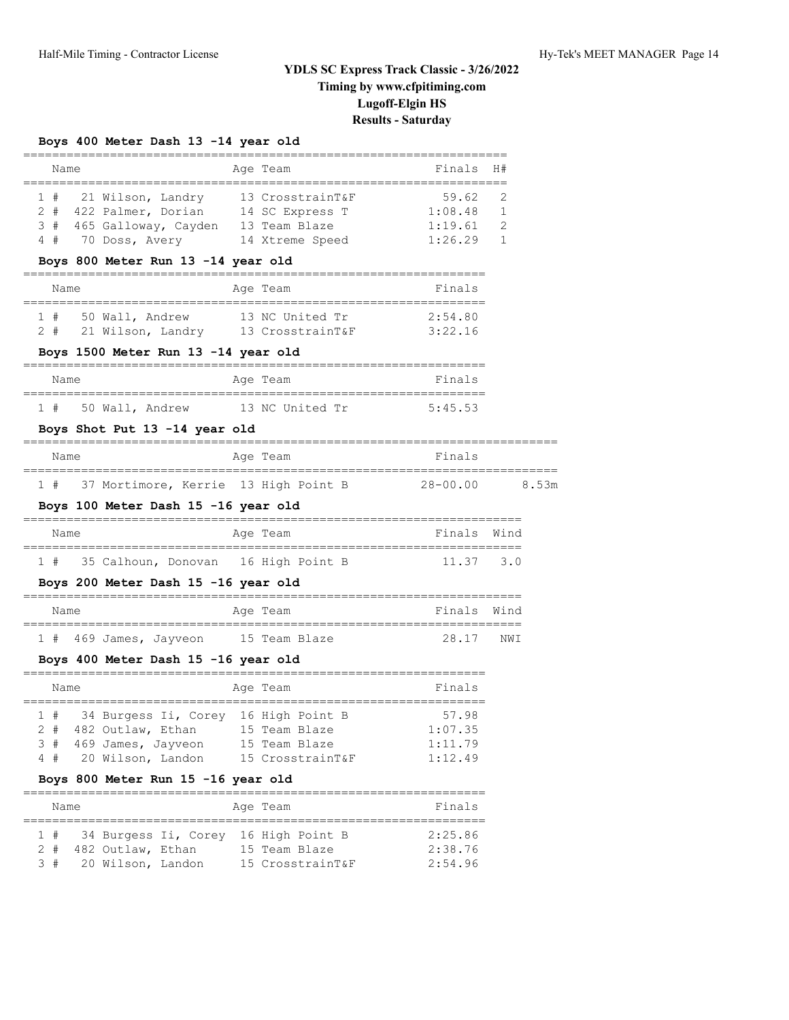# **Boys 400 Meter Dash 13 -14 year old**

| Name                                                                                                                                                                       | Age Team | Finals                                 | H#             |
|----------------------------------------------------------------------------------------------------------------------------------------------------------------------------|----------|----------------------------------------|----------------|
| 21 Wilson, Landry 13 CrosstrainT&F<br>1#<br>2 # 422 Palmer, Dorian 14 SC Express T 1:08.48<br>3 # 465 Galloway, Cayden 13 Team Blaze<br>4 # 70 Doss, Avery 14 Xtreme Speed |          | 59.62<br>$1:19.61$ 2<br>$1:26.29$ 1    | 2<br>1         |
| Boys 800 Meter Run 13 -14 year old                                                                                                                                         |          |                                        |                |
| Name                                                                                                                                                                       | Age Team | Finals                                 |                |
| 50 Wall, Andrew 13 NC United Tr<br>1#<br>2 # 21 Wilson, Landry 13 CrosstrainT&F 3:22.16                                                                                    |          | 2:54.80                                |                |
| Boys 1500 Meter Run 13 -14 year old                                                                                                                                        |          |                                        |                |
| Name                                                                                                                                                                       | Age Team | Finals                                 |                |
| 1 # 50 Wall, Andrew 13 NC United Tr                                                                                                                                        |          | 5:45.53                                |                |
| Boys Shot Put 13 -14 year old                                                                                                                                              |          |                                        |                |
| Name                                                                                                                                                                       | Age Team | Finals                                 |                |
| 1 # 37 Mortimore, Kerrie 13 High Point B                                                                                                                                   |          |                                        | 28-00.00 8.53m |
| Boys 100 Meter Dash 15 -16 year old                                                                                                                                        |          |                                        |                |
| Name                                                                                                                                                                       | Age Team | Finals Wind                            |                |
| 1 # 35 Calhoun, Donovan 16 High Point B                                                                                                                                    |          | 11.37 3.0                              |                |
| Boys 200 Meter Dash 15 -16 year old                                                                                                                                        |          |                                        |                |
| Name                                                                                                                                                                       | Age Team | Finals Wind                            |                |
| 1 # 469 James, Jayveon 15 Team Blaze                                                                                                                                       |          | 28.17 NWI                              |                |
| Boys 400 Meter Dash 15 -16 year old                                                                                                                                        |          |                                        |                |
| Name                                                                                                                                                                       | Age Team | Finals                                 |                |
| 1 # 34 Burgess Ii, Corey 16 High Point B<br>2 # 482 Outlaw, Ethan 15 Team Blaze<br>3 # 469 James, Jayveon 15 Team Blaze<br>20 Wilson, Landon 15 CrosstrainT&F<br>4#        |          | 57.98<br>1:07.35<br>1:11.79<br>1:12.49 |                |
| Boys 800 Meter Run 15 -16 year old                                                                                                                                         |          |                                        |                |

| Name |                                      |  | Age Team |                  |  | Finals  |
|------|--------------------------------------|--|----------|------------------|--|---------|
| 1#   | 34 Burgess Ii, Corey 16 High Point B |  |          |                  |  | 2:25.86 |
| 2 #  | 482 Outlaw, Ethan                    |  |          | 15 Team Blaze    |  | 2:38.76 |
|      | 3 # 20 Wilson, Landon                |  |          | 15 CrosstrainT&F |  | 2:54.96 |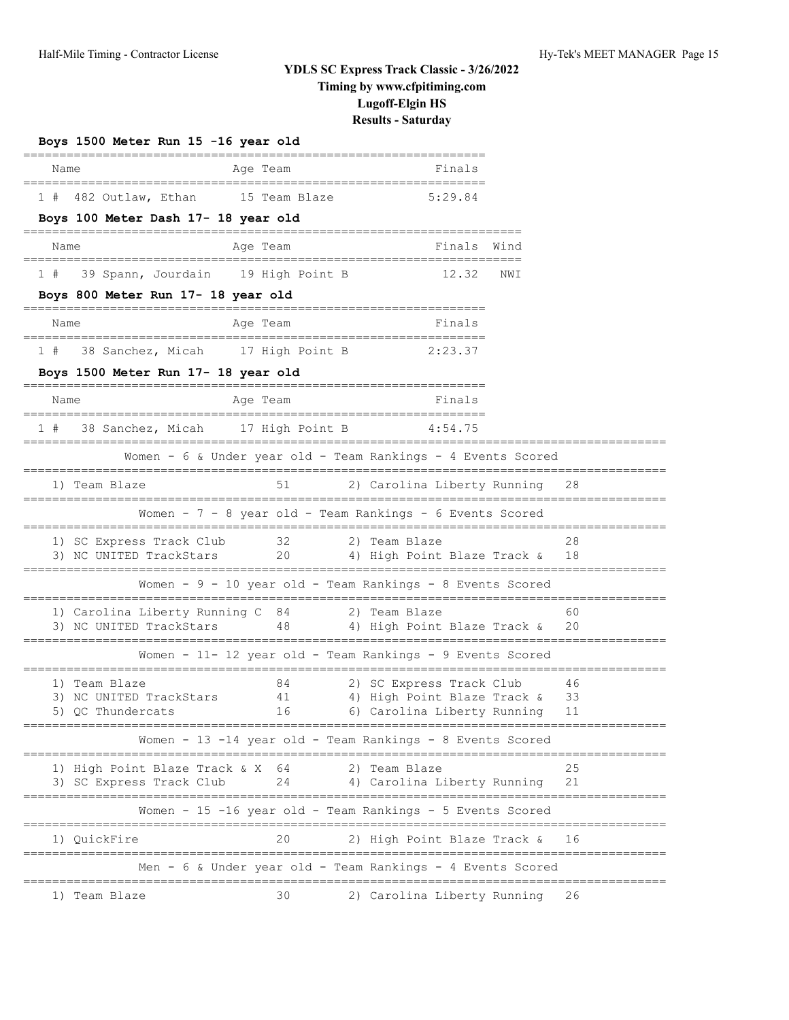| Boys 1500 Meter Run 15 -16 year old                         |                                       |                                                              |      |          |
|-------------------------------------------------------------|---------------------------------------|--------------------------------------------------------------|------|----------|
| Name                                                        | Age Team                              | Finals                                                       |      |          |
| 1 # 482 Outlaw, Ethan                                       | 15 Team Blaze                         | 5:29.84                                                      |      |          |
| Boys 100 Meter Dash 17- 18 year old                         |                                       |                                                              |      |          |
| Name                                                        | Age Team                              | Finals<br>======================================             | Wind |          |
| 1#                                                          | 39 Spann, Jourdain 19 High Point B    | 12.32                                                        | NWI  |          |
| Boys 800 Meter Run 17- 18 year old                          |                                       |                                                              |      |          |
| Name                                                        | Age Team                              | Finals<br>=============================                      |      |          |
| 1#                                                          | 38 Sanchez, Micah     17 High Point B | 2:23.37                                                      |      |          |
| Boys 1500 Meter Run 17- 18 year old                         |                                       | =============================                                |      |          |
| Name                                                        | Age Team                              | Finals                                                       |      |          |
| 1#                                                          | 38 Sanchez, Micah 17 High Point B     | 4:54.75                                                      |      |          |
|                                                             |                                       | Women - 6 & Under year old - Team Rankings - 4 Events Scored |      |          |
| 1) Team Blaze                                               | 51                                    | 2) Carolina Liberty Running                                  |      | 28       |
|                                                             |                                       | Women - $7 - 8$ year old - Team Rankings - 6 Events Scored   |      |          |
| 1) SC Express Track Club                                    | 32                                    | 2) Team Blaze                                                |      | 28       |
| 3) NC UNITED TrackStars                                     | 20                                    | 4) High Point Blaze Track &                                  |      |          |
|                                                             |                                       | Women - 9 - 10 year old - Team Rankings - 8 Events Scored    |      |          |
| 1) Carolina Liberty Running C 84<br>3) NC UNITED TrackStars |                                       | 2) Team Blaze<br>48 		 4) High Point Blaze Track &           |      | 60<br>20 |
|                                                             |                                       | Women - 11- 12 year old - Team Rankings - 9 Events Scored    |      |          |
|                                                             |                                       |                                                              |      |          |
| 1) Team Blaze<br>3) NC UNITED TrackStars                    | 84<br>41                              | 2) SC Express Track Club<br>4) High Point Blaze Track &      |      | 46<br>33 |
| 5) QC Thundercats                                           |                                       | 16 6) Carolina Liberty Running 11                            |      |          |
|                                                             |                                       | Women - 13 -14 year old - Team Rankings - 8 Events Scored    |      |          |
| 1) High Point Blaze Track & X 64                            |                                       | 2) Team Blaze                                                |      | 25       |
| 3) SC Express Track Club                                    | 24                                    | 4) Carolina Liberty Running                                  |      | 21       |
|                                                             |                                       | Women - 15 -16 year old - Team Rankings - 5 Events Scored    |      |          |
| 1) QuickFire                                                | 20                                    | 2) High Point Blaze Track &                                  |      | 16       |
|                                                             |                                       | Men - 6 & Under year old - Team Rankings - 4 Events Scored   |      |          |
| 1) Team Blaze                                               | 30                                    | 2) Carolina Liberty Running                                  |      | 26       |